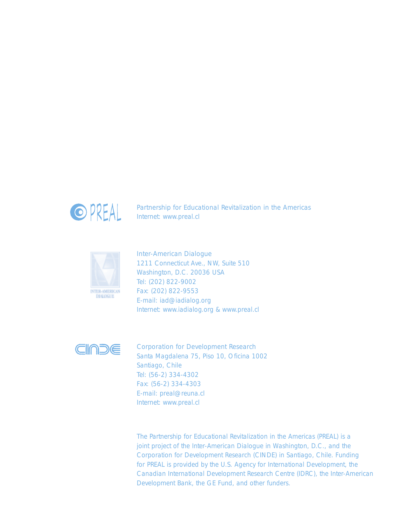

Partnership for Educational Revitalization in the Americas Internet: www.preal.cl



Inter-American Dialogue 1211 Connecticut Ave., NW, Suite 510 Washington, D.C. 20036 USA Tel: (202) 822-9002 Fax: (202) 822-9553 E-mail: iad@iadialog.org Internet: www.iadialog.org & www.preal.cl



Corporation for Development Research Santa Magdalena 75, Piso 10, Oficina 1002 Santiago, Chile Tel: (56-2) 334-4302 Fax: (56-2) 334-4303 E-mail: preal@reuna.cl Internet: www.preal.cl

The Partnership for Educational Revitalization in the Americas (PREAL) is a joint project of the Inter-American Dialogue in Washington, D.C., and the Corporation for Development Research (CINDE) in Santiago, Chile. Funding for PREAL is provided by the U.S. Agency for International Development, the Canadian International Development Research Centre (IDRC), the Inter-American Development Bank, the GE Fund, and other funders.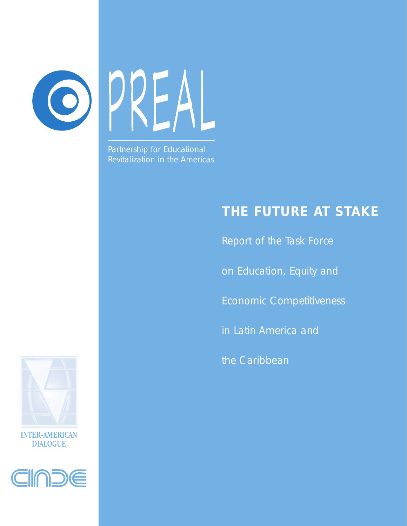

Partnership for Educational Revitalization in the Americas

## **THE FUTURE AT STAKE**

Report of the Task Force

on Education, Equity and

Economic Competitiveness

in Latin America and

the Caribbean



**INTER-AMERICAN DIALOGUE** 

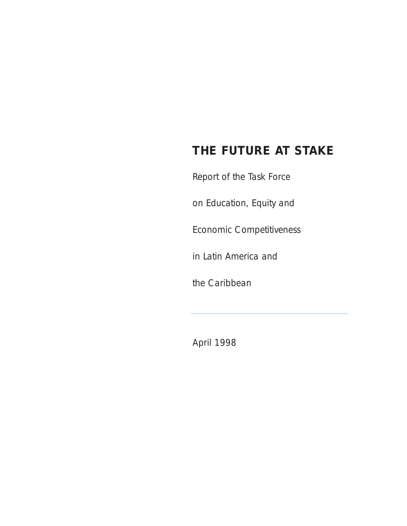## **THE FUTURE AT STAKE**

Report of the Task Force

on Education, Equity and

Economic Competitiveness

in Latin America and

the Caribbean

April 1998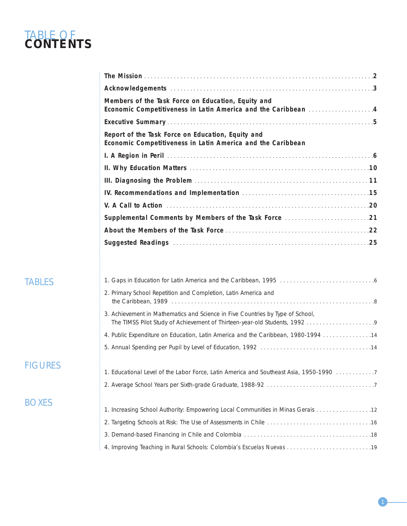## TABLE OF **CONTENTS**

| Members of the Task Force on Education, Equity and<br>Economic Competitiveness in Latin America and the Caribbean [11] [11] Economic Competitiveness in Latin America and the Caribbean [11] $\cdot$ |  |
|------------------------------------------------------------------------------------------------------------------------------------------------------------------------------------------------------|--|
|                                                                                                                                                                                                      |  |
| Report of the Task Force on Education, Equity and<br>Economic Competitiveness in Latin America and the Caribbean                                                                                     |  |
|                                                                                                                                                                                                      |  |
|                                                                                                                                                                                                      |  |
|                                                                                                                                                                                                      |  |
|                                                                                                                                                                                                      |  |
|                                                                                                                                                                                                      |  |
|                                                                                                                                                                                                      |  |
|                                                                                                                                                                                                      |  |
| Suggested Readings Material Communications and the Capital Suggested Readings Material Communications and 25                                                                                         |  |
|                                                                                                                                                                                                      |  |
|                                                                                                                                                                                                      |  |

## TABLES

**FIGURES** 

BOXES

| 2. Primary School Repetition and Completion, Latin America and                                                                                             |
|------------------------------------------------------------------------------------------------------------------------------------------------------------|
| 3. Achievement in Mathematics and Science in Five Countries by Type of School,<br>The TIMSS Pilot Study of Achievement of Thirteen-year-old Students, 1992 |
| 4. Public Expenditure on Education, Latin America and the Caribbean, 1980-1994 14                                                                          |
|                                                                                                                                                            |
|                                                                                                                                                            |
| 1. Educational Level of the Labor Force, Latin America and Southeast Asia, 1950-1990 7                                                                     |
|                                                                                                                                                            |
|                                                                                                                                                            |
| 12. Increasing School Authority: Empowering Local Communities in Minas Gerais 12                                                                           |
|                                                                                                                                                            |
|                                                                                                                                                            |
|                                                                                                                                                            |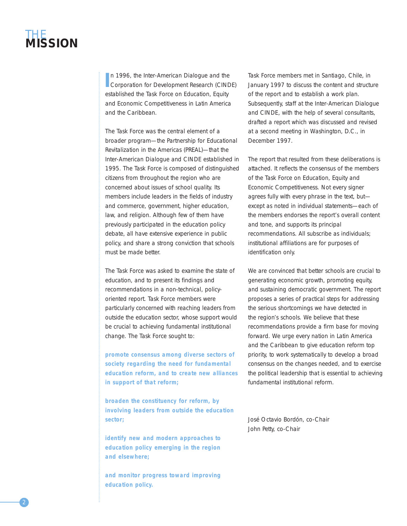## THE **MISSION**

**I** n 1996, the Inter-American Dialogue and the Corporation for Development Research (CINDE) n 1996, the Inter-American Dialogue and the established the Task Force on Education, Equity and Economic Competitiveness in Latin America and the Caribbean.

The Task Force was the central element of a broader program—the Partnership for Educational Revitalization in the Americas (PREAL)—that the Inter-American Dialogue and CINDE established in 1995. The Task Force is composed of distinguished citizens from throughout the region who are concerned about issues of school quality. Its members include leaders in the fields of industry and commerce, government, higher education, law, and religion. Although few of them have previously participated in the education policy debate, all have extensive experience in public policy, and share a strong conviction that schools must be made better.

The Task Force was asked to examine the state of education, and to present its findings and recommendations in a non-technical, policyoriented report. Task Force members were particularly concerned with reaching leaders from outside the education sector, whose support would be crucial to achieving fundamental institutional change. The Task Force sought to:

**promote consensus among diverse sectors of society regarding the need for fundamental education reform, and to create new alliances in support of that reform;**

**broaden the constituency for reform, by involving leaders from outside the education sector;**

**identify new and modern approaches to education policy emerging in the region and elsewhere;** 

**and monitor progress toward improving education policy.**

Task Force members met in Santiago, Chile, in January 1997 to discuss the content and structure of the report and to establish a work plan. Subsequently, staff at the Inter-American Dialogue and CINDE, with the help of several consultants, drafted a report which was discussed and revised at a second meeting in Washington, D.C., in December 1997.

The report that resulted from these deliberations is attached. It reflects the consensus of the members of the Task Force on Education, Equity and Economic Competitiveness. Not every signer agrees fully with every phrase in the text, but except as noted in individual statements—each of the members endorses the report's overall content and tone, and supports its principal recommendations. All subscribe as individuals; institutional affiliations are for purposes of identification only.

We are convinced that better schools are crucial to generating economic growth, promoting equity, and sustaining democratic government. The report proposes a series of practical steps for addressing the serious shortcomings we have detected in the region's schools. We believe that these recommendations provide a firm base for moving forward. We urge every nation in Latin America and the Caribbean to give education reform top priority, to work systematically to develop a broad consensus on the changes needed, and to exercise the political leadership that is essential to achieving fundamental institutional reform.

José Octavio Bordón, co-Chair John Petty, co-Chair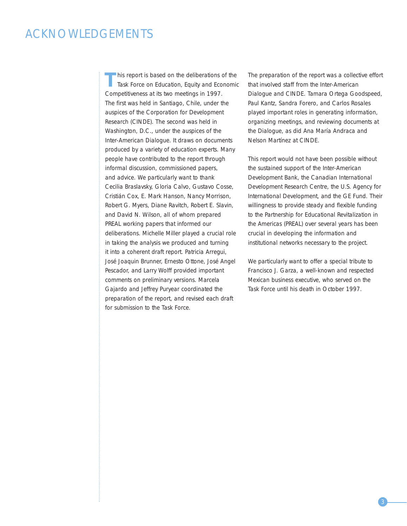## ACKNOWLEDGEMENTS

This report is based on the deliberations of the Task Force on Education, Equity and Economic Competitiveness at its two meetings in 1997. The first was held in Santiago, Chile, under the auspices of the Corporation for Development Research (CINDE). The second was held in Washington, D.C., under the auspices of the Inter-American Dialogue. It draws on documents produced by a variety of education experts. Many people have contributed to the report through informal discussion, commissioned papers, and advice. We particularly want to thank Cecilia Braslavsky, Gloria Calvo, Gustavo Cosse, Cristián Cox, E. Mark Hanson, Nancy Morrison, Robert G. Myers, Diane Ravitch, Robert E. Slavin, and David N. Wilson, all of whom prepared PREAL working papers that informed our deliberations. Michelle Miller played a crucial role in taking the analysis we produced and turning it into a coherent draft report. Patricia Arregui, José Joaquin Brunner, Ernesto Ottone, José Angel Pescador, and Larry Wolff provided important comments on preliminary versions. Marcela Gajardo and Jeffrey Puryear coordinated the preparation of the report, and revised each draft for submission to the Task Force.

The preparation of the report was a collective effort that involved staff from the Inter-American Dialogue and CINDE. Tamara Ortega Goodspeed, Paul Kantz, Sandra Forero, and Carlos Rosales played important roles in generating information, organizing meetings, and reviewing documents at the Dialogue, as did Ana María Andraca and Nelson Martínez at CINDE.

This report would not have been possible without the sustained support of the Inter-American Development Bank, the Canadian International Development Research Centre, the U.S. Agency for International Development, and the GE Fund. Their willingness to provide steady and flexible funding to the Partnership for Educational Revitalization in the Americas (PREAL) over several years has been crucial in developing the information and institutional networks necessary to the project.

We particularly want to offer a special tribute to Francisco J. Garza, a well-known and respected Mexican business executive, who served on the Task Force until his death in October 1997.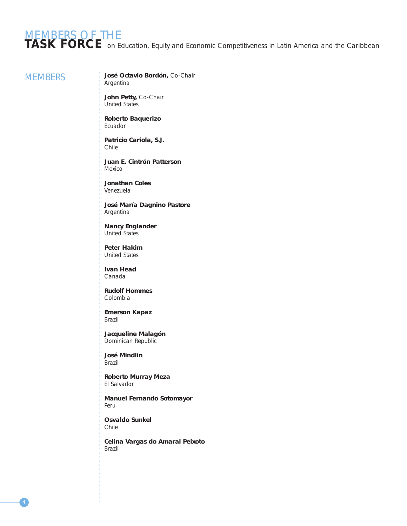## MEMBERS OF THE **TASK FORCE** on Education, Equity and Economic Competitiveness in Latin America and the Caribbean

### **MEMBERS**

4

**José Octavio Bordón,** Co-Chair Argentina

**John Petty,** Co-Chair United States

**Roberto Baquerizo** Ecuador

**Patricio Cariola, S.J.** Chile

**Juan E. Cintrón Patterson** Mexico

**Jonathan Coles** Venezuela

**José María Dagnino Pastore** Argentina

**Nancy Englander** United States

**Peter Hakim** United States

**Ivan Head** Canada

**Rudolf Hommes** Colombia

**Emerson Kapaz** Brazil

**Jacqueline Malagón** Dominican Republic

**José Mindlin** Brazil

**Roberto Murray Meza** El Salvador

**Manuel Fernando Sotomayor** Peru

**Osvaldo Sunkel** Chile

**Celina Vargas do Amaral Peixoto** Brazil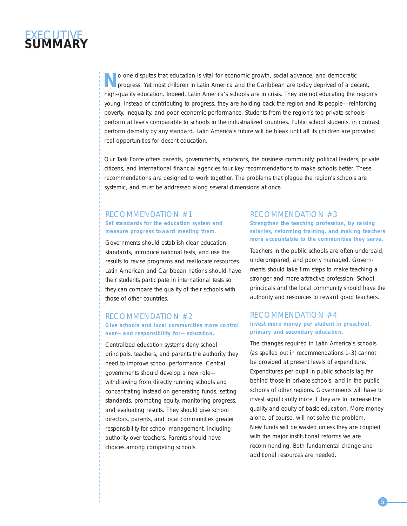## **EXECUTIVE SUMMARY**

**No one disputes that education is vital for economic growth, social advance, and democratic progress. Yet most children in Latin America and the Caribbean are today deprived of a decent,** high-quality education. Indeed, Latin America's schools are in crisis. They are not educating the region's young. Instead of contributing to progress, they are holding back the region and its people—reinforcing poverty, inequality, and poor economic performance. Students from the region's top private schools perform at levels comparable to schools in the industrialized countries. Public school students, in contrast, perform dismally by any standard. Latin America's future will be bleak until all its children are provided real opportunities for decent education.

Our Task Force offers parents, governments, educators, the business community, political leaders, private citizens, and international financial agencies four key recommendations to make schools better. These recommendations are designed to work together. The problems that plague the region's schools are systemic, and must be addressed along several dimensions at once.

#### RECOMMENDATION #1 **Set standards for the education system and measure progress toward meeting them.**

Governments should establish clear education standards, introduce national tests, and use the results to revise programs and reallocate resources. Latin American and Caribbean nations should have their students participate in international tests so they can compare the quality of their schools with those of other countries.

#### RECOMMENDATION #2

#### **Give schools and local communities more control over—and responsibility for—education.**

Centralized education systems deny school principals, teachers, and parents the authority they need to improve school performance. Central governments should develop a new role withdrawing from directly running schools and concentrating instead on generating funds, setting standards, promoting equity, monitoring progress, and evaluating results. They should give school directors, parents, and local communities greater responsibility for school management, including authority over teachers. Parents should have choices among competing schools.

#### RECOMMENDATION #3

**Strengthen the teaching profession, by raising salaries, reforming training, and making teachers more accountable to the communities they serve.**

Teachers in the public schools are often underpaid, underprepared, and poorly managed. Governments should take firm steps to make teaching a stronger and more attractive profession. School principals and the local community should have the authority and resources to reward good teachers.

#### RECOMMENDATION #4

**Invest more money per student in preschool, primary and secondary education.**

The changes required in Latin America's schools (as spelled out in recommendations 1-3) cannot be provided at present levels of expenditure. Expenditures per pupil in public schools lag far behind those in private schools, and in the public schools of other regions. Governments will have to invest significantly more if they are to increase the quality and equity of basic education. More money alone, of course, will not solve the problem. New funds will be wasted unless they are coupled with the major institutional reforms we are recommending. Both fundamental change and additional resources are needed.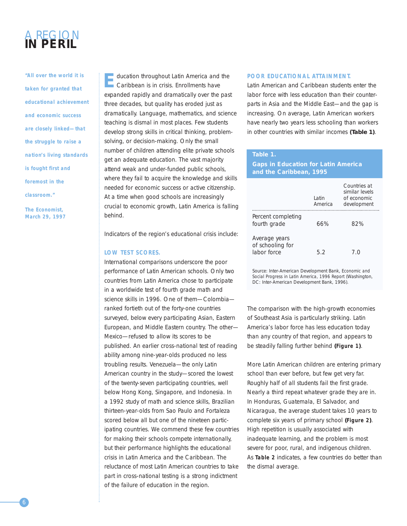

**"All over the world it is taken for granted that educational achievement and economic success are closely linked—that the struggle to raise a nation's living standards is fought first and foremost in the classroom."**

**The Economist, March 29, 1997**

**E**ducation throughout Latin America and the Caribbean is in crisis. Enrollments have expanded rapidly and dramatically over the past three decades, but quality has eroded just as dramatically. Language, mathematics, and science teaching is dismal in most places. Few students develop strong skills in critical thinking, problemsolving, or decision-making. Only the small number of children attending elite private schools get an adequate education. The vast majority attend weak and under-funded public schools, where they fail to acquire the knowledge and skills needed for economic success or active citizenship. At a time when good schools are increasingly crucial to economic growth, Latin America is falling behind.

Indicators of the region's educational crisis include:

#### **LOW TEST SCORES.**

International comparisons underscore the poor performance of Latin American schools. Only two countries from Latin America chose to participate in a worldwide test of fourth grade math and science skills in 1996. One of them—Colombia ranked fortieth out of the forty-one countries surveyed, below every participating Asian, Eastern European, and Middle Eastern country. The other— Mexico—refused to allow its scores to be published. An earlier cross-national test of reading ability among nine-year-olds produced no less troubling results. Venezuela—the only Latin American country in the study—scored the lowest of the twenty-seven participating countries, well below Hong Kong, Singapore, and Indonesia. In a 1992 study of math and science skills, Brazilian thirteen-year-olds from Sao Paulo and Fortaleza scored below all but one of the nineteen participating countries. We commend these few countries for making their schools compete internationally, but their performance highlights the educational crisis in Latin America and the Caribbean. The reluctance of most Latin American countries to take part in cross-national testing is a strong indictment of the failure of education in the region.

#### **POOR EDUCATIONAL ATTAINMENT.**

Latin American and Caribbean students enter the labor force with less education than their counterparts in Asia and the Middle East—and the gap is increasing. On average, Latin American workers have nearly two years less schooling than workers in other countries with similar incomes **(Table 1)**.

#### **Table 1.**

**Gaps in Education for Latin America and the Caribbean, 1995**

|                                                  | I atin<br>America | Countries at<br>similar levels<br>of economic<br>development |
|--------------------------------------------------|-------------------|--------------------------------------------------------------|
| Percent completing<br>fourth grade               | 66%               | 82%                                                          |
| Average years<br>of schooling for<br>labor force | 52                | 7 O                                                          |

Source: Inter-American Development Bank, *Economic and Social Progress in Latin America, 1996 Report* (Washington, DC: Inter-American Development Bank, 1996).

The comparison with the high-growth economies of Southeast Asia is particularly striking. Latin America's labor force has less education today than any country of that region, and appears to be steadily falling further behind **(Figure 1)**.

More Latin American children are entering primary school than ever before, but few get very far. Roughly half of all students fail the first grade. Nearly a third repeat whatever grade they are in. In Honduras, Guatemala, El Salvador, and Nicaragua, the average student takes 10 years to complete six years of primary school **(Figure 2)**. High repetition is usually associated with inadequate learning, and the problem is most severe for poor, rural, and indigenous children. As **Table 2** indicates, a few countries do better than the dismal average.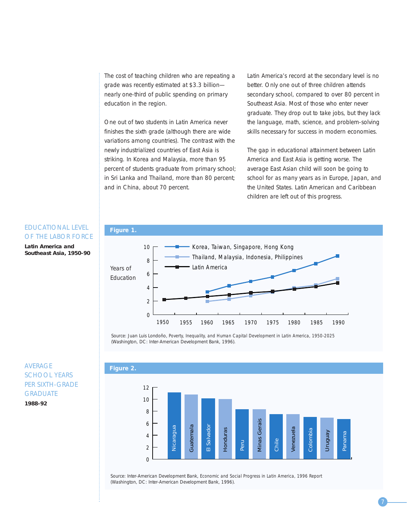The cost of teaching children who are repeating a grade was recently estimated at \$3.3 billion nearly one-third of public spending on primary education in the region.

One out of two students in Latin America never finishes the sixth grade (although there are wide variations among countries). The contrast with the newly industrialized countries of East Asia is striking. In Korea and Malaysia, more than 95 percent of students graduate from primary school; in Sri Lanka and Thailand, more than 80 percent; and in China, about 70 percent.

Latin America's record at the secondary level is no better. Only one out of three children attends secondary school, compared to over 80 percent in Southeast Asia. Most of those who enter never graduate. They drop out to take jobs, but they lack the language, math, science, and problem-solving skills necessary for success in modern economies.

The gap in educational attainment between Latin America and East Asia is getting worse. The average East Asian child will soon be going to school for as many years as in Europe, Japan, and the United States. Latin American and Caribbean children are left out of this progress.



Source: Juan Luis Londoño, *Poverty, Inequality, and Human Capital Development in Latin America, 1950-2025* (Washington, DC: Inter-American Development Bank, 1996).



Source: Inter-American Development Bank, *Economic and Social Progress in Latin America, 1996 Report* (Washington, DC: Inter-American Development Bank, 1996).

#### EDUCATIONAL LEVEL OF THE LABOR FORCE

**Latin America and Southeast Asia, 1950-90**

AVERAGE SCHOOL YEARS PER SIXTH-GRADE GRADUATE

**1988-92**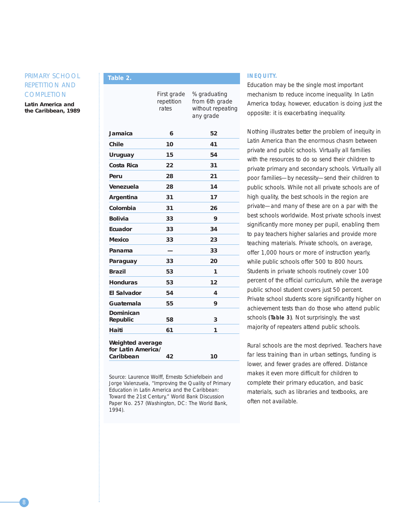### PRIMARY SCHOOL REPETITION AND **COMPLETION**

**Latin America and the Caribbean, 1989**

| Table 2.                                            |                                    |                                                                  |
|-----------------------------------------------------|------------------------------------|------------------------------------------------------------------|
|                                                     | First grade<br>repetition<br>rates | % graduating<br>from 6th grade<br>without repeating<br>any grade |
| Jamaica                                             | 6                                  | 52                                                               |
| Chile                                               | 10                                 | 41                                                               |
| Uruguay                                             | 15                                 | 54                                                               |
| Costa Rica                                          | 22                                 | 31                                                               |
| Peru                                                | 28                                 | 21                                                               |
| Venezuela                                           | 28                                 | 14                                                               |
| Argentina                                           | 31                                 | 17                                                               |
| Colombia                                            | 31                                 | 26                                                               |
| <b>Bolivia</b>                                      | 33                                 | 9                                                                |
| Ecuador                                             | 33                                 | 34                                                               |
| <b>Mexico</b>                                       | 33                                 | 23                                                               |
| Panama                                              |                                    | 33                                                               |
| Paraguay                                            | 33                                 | 20                                                               |
| <b>Brazil</b>                                       | 53                                 | 1                                                                |
| <b>Honduras</b>                                     | 53                                 | 12                                                               |
| <b>El Salvador</b>                                  | 54                                 | 4                                                                |
| Guatemala                                           | 55                                 | 9                                                                |
| Dominican<br>Republic                               | 58                                 | 3                                                                |
| Haiti                                               | 61                                 | 1                                                                |
| Weighted average<br>for Latin America/<br>Caribbean | 42                                 | 10                                                               |

Source: Laurence Wolff, Ernesto Schiefelbein and Jorge Valenzuela, "Improving the Quality of Primary Education in Latin America and the Caribbean: Toward the 21st Century," World Bank Discussion Paper No. 257 (Washington, DC: The World Bank, 1994).

#### **INEQUITY.**

Education may be the single most important mechanism to reduce income inequality. In Latin America today, however, education is doing just the opposite: it is exacerbating inequality.

Nothing illustrates better the problem of inequity in Latin America than the enormous chasm between private and public schools. Virtually all families with the resources to do so send their children to private primary and secondary schools. Virtually all poor families—by necessity—send their children to public schools. While not all private schools are of high quality, the best schools in the region are private—and many of these are on a par with the best schools worldwide. Most private schools invest significantly more money per pupil, enabling them to pay teachers higher salaries and provide more teaching materials. Private schools, on average, offer 1,000 hours or more of instruction yearly, while public schools offer 500 to 800 hours. Students in private schools routinely cover 100 percent of the official curriculum, while the average public school student covers just 50 percent. Private school students score significantly higher on achievement tests than do those who attend public schools **( Table 3)**. Not surprisingly, the vast majority of repeaters attend public schools.

Rural schools are the most deprived. Teachers have far less training than in urban settings, funding is lower, and fewer grades are offered. Distance makes it even more difficult for children to complete their primary education, and basic materials, such as libraries and textbooks, are often not available.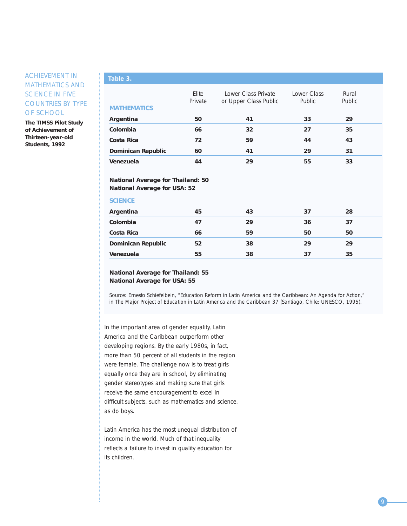### ACHIEVEMENT IN MATHEMATICS AND SCIENCE IN FIVE COUNTRIES BY TYPE OF SCHOOL

**The TIMSS Pilot Study of Achievement of Thirteen-year-old Students, 1992**

| Table 3.                  |                  |                                              |                       |                 |  |
|---------------------------|------------------|----------------------------------------------|-----------------------|-----------------|--|
| <b>MATHEMATICS</b>        | Elite<br>Private | Lower Class Private<br>or Upper Class Public | Lower Class<br>Public | Rural<br>Public |  |
| Argentina                 | 50               | 41                                           | 33                    | 29              |  |
| Colombia                  | 66               | 32                                           | 27                    | 35              |  |
| Costa Rica                | 72               | 59                                           | 44                    | 43              |  |
| <b>Dominican Republic</b> | 60               | 41                                           | 29                    | 31              |  |
| Venezuela                 | 44               | 29                                           | 55                    | 33              |  |
|                           |                  |                                              |                       |                 |  |

**National Average for Thailand: 50 National Average for USA: 52**

#### **SCIENCE**

| Argentina          | 45 | 43 | 37 | 28 |  |
|--------------------|----|----|----|----|--|
| Colombia           | 47 | 29 | 36 | 37 |  |
| Costa Rica         | 66 | 59 | 50 | 50 |  |
| Dominican Republic | 52 | 38 | 29 | 29 |  |
| Venezuela          | 55 | 38 | 37 | 35 |  |

#### **National Average for Thailand: 55 National Average for USA: 55**

Source: Ernesto Schiefelbein, "Education Reform in Latin America and the Caribbean: An Agenda for Action," in *The Major Project of Education in Latin America and the Caribbean* 37 (Santiago, Chile: UNESCO, 1995).

In the important area of gender equality, Latin America and the Caribbean outperform other developing regions. By the early 1980s, in fact, more than 50 percent of all students in the region were female. The challenge now is to treat girls equally once they are in school, by eliminating gender stereotypes and making sure that girls receive the same encouragement to excel in difficult subjects, such as mathematics and science, as do boys.

Latin America has the most unequal distribution of income in the world. Much of that inequality reflects a failure to invest in quality education for its children.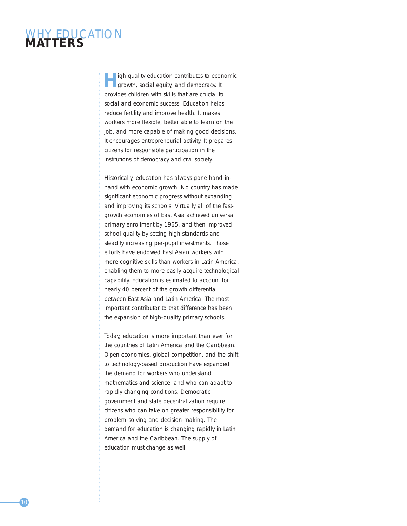## WHY EDUCATION **MATTERS**

igh quality education contributes to economic **growth, social equity, and democracy. It** provides children with skills that are crucial to social and economic success. Education helps reduce fertility and improve health. It makes workers more flexible, better able to learn on the job, and more capable of making good decisions. It encourages entrepreneurial activity. It prepares citizens for responsible participation in the institutions of democracy and civil society.

Historically, education has always gone hand-inhand with economic growth. No country has made significant economic progress without expanding and improving its schools. Virtually all of the fastgrowth economies of East Asia achieved universal primary enrollment by 1965, and then improved school quality by setting high standards and steadily increasing per-pupil investments. Those efforts have endowed East Asian workers with more cognitive skills than workers in Latin America, enabling them to more easily acquire technological capability. Education is estimated to account for nearly 40 percent of the growth differential between East Asia and Latin America. The most important contributor to that difference has been the expansion of high-quality primary schools.

Today, education is more important than ever for the countries of Latin America and the Caribbean. Open economies, global competition, and the shift to technology-based production have expanded the demand for workers who understand mathematics and science, and who can adapt to rapidly changing conditions. Democratic government and state decentralization require citizens who can take on greater responsibility for problem-solving and decision-making. The demand for education is changing rapidly in Latin America and the Caribbean. The supply of education must change as well.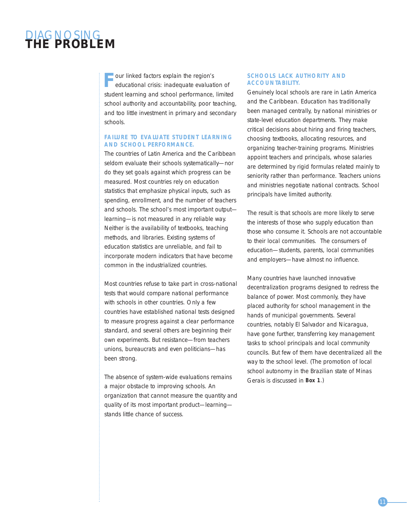## DIAGNOSING **THE PROBLEM**

our linked factors explain the region's educational crisis: inadequate evaluation of student learning and school performance, limited school authority and accountability, poor teaching, and too little investment in primary and secondary schools.

#### **FAILURE TO EVALUATE STUDENT LEARNING AND SCHOOL PERFORMANCE.**

The countries of Latin America and the Caribbean seldom evaluate their schools systematically—nor do they set goals against which progress can be measured. Most countries rely on education statistics that emphasize physical inputs, such as spending, enrollment, and the number of teachers and schools. The school's most important output learning—is not measured in any reliable way. Neither is the availability of textbooks, teaching methods, and libraries. Existing systems of education statistics are unreliable, and fail to incorporate modern indicators that have become common in the industrialized countries.

Most countries refuse to take part in cross-national tests that would compare national performance with schools in other countries. Only a few countries have established national tests designed to measure progress against a clear performance standard, and several others are beginning their own experiments. But resistance—from teachers unions, bureaucrats and even politicians—has been strong.

The absence of system-wide evaluations remains a major obstacle to improving schools. An organization that cannot measure the quantity and quality of its most important product—learning stands little chance of success.

#### **SCHOOLS LACK AUTHORITY AND ACCOUNTABILITY.**

Genuinely local schools are rare in Latin America and the Caribbean. Education has traditionally been managed centrally, by national ministries or state-level education departments. They make critical decisions about hiring and firing teachers, choosing textbooks, allocating resources, and organizing teacher-training programs. Ministries appoint teachers and principals, whose salaries are determined by rigid formulas related mainly to seniority rather than performance. Teachers unions and ministries negotiate national contracts. School principals have limited authority.

The result is that schools are more likely to serve the interests of those who supply education than those who consume it. Schools are not accountable to their local communities. The consumers of education—students, parents, local communities and employers—have almost no influence.

Many countries have launched innovative decentralization programs designed to redress the balance of power. Most commonly, they have placed authority for school management in the hands of municipal governments. Several countries, notably El Salvador and Nicaragua, have gone further, transferring key management tasks to school principals and local community councils. But few of them have decentralized all the way to the school level. (The promotion of local school autonomy in the Brazilian state of Minas Gerais is discussed in **Box 1**.)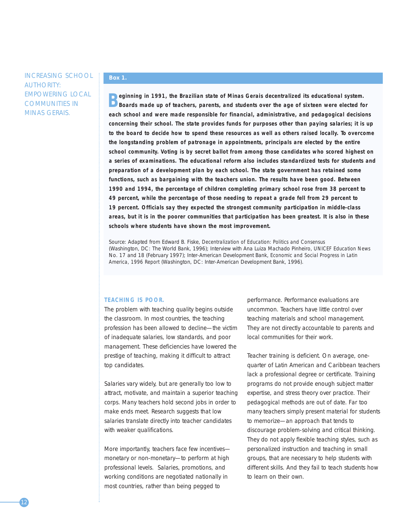**INCREASING SCHOOL Box 1.** AUTHORITY: EMPOWERING LOCAL COMMUNITIES IN MINAS GERAIS.

**Beginning in 1991, the Brazilian state of Minas Gerais decentralized its educational system.**<br>Boards made up of teachers, parents, and students over the age of sixteen were elected for **each school and were made responsible for financial, administrative, and pedagogical decisions concerning their school. The state provides funds for purposes other than paying salaries; it is up to the board to decide how to spend these resources as well as others raised locally. To overcome the longstanding problem of patronage in appointments, principals are elected by the entire school community. Voting is by secret ballot from among those candidates who scored highest on a series of examinations. The educational reform also includes standardized tests for students and preparation of a development plan by each school. The state government has retained some functions, such as bargaining with the teachers union. The results have been good. Between 1990 and 1994, the percentage of children completing primary school rose from 38 percent to 49 percent, while the percentage of those needing to repeat a grade fell from 29 percent to 19 percent. Officials say they expected the strongest community participation in middle-class areas, but it is in the poorer communities that participation has been greatest. It is also in these schools where students have shown the most improvement.**

Source: Adapted from Edward B. Fiske, *Decentralization of Education: Politics and Consensus* (Washington, DC: The World Bank, 1996); Interview with Ana Luiza Machado Pinheiro, *UNICEF Education News* No. 17 and 18 (February 1997); Inter-American Development Bank, *Economic and Social Progress in Latin America, 1996 Report* (Washington, DC: Inter-American Development Bank, 1996).

#### **TEACHING IS POOR.**

The problem with teaching quality begins outside the classroom. In most countries, the teaching profession has been allowed to decline—the victim of inadequate salaries, low standards, and poor management. These deficiencies have lowered the prestige of teaching, making it difficult to attract top candidates.

Salaries vary widely, but are generally too low to attract, motivate, and maintain a superior teaching corps. Many teachers hold second jobs in order to make ends meet. Research suggests that low salaries translate directly into teacher candidates with weaker qualifications.

More importantly, teachers face few incentives monetary or non-monetary—to perform at high professional levels. Salaries, promotions, and working conditions are negotiated nationally in most countries, rather than being pegged to

performance. Performance evaluations are uncommon. Teachers have little control over teaching materials and school management. They are not directly accountable to parents and local communities for their work.

Teacher training is deficient. On average, onequarter of Latin American and Caribbean teachers lack a professional degree or certificate. Training programs do not provide enough subject matter expertise, and stress theory over practice. Their pedagogical methods are out of date. Far too many teachers simply present material for students to memorize—an approach that tends to discourage problem-solving and critical thinking. They do not apply flexible teaching styles, such as personalized instruction and teaching in small groups, that are necessary to help students with different skills. And they fail to teach students how to learn on their own.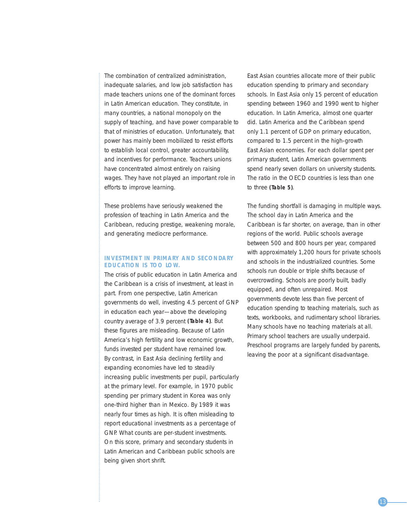The combination of centralized administration, inadequate salaries, and low job satisfaction has made teachers unions one of the dominant forces in Latin American education. They constitute, in many countries, a national monopoly on the supply of teaching, and have power comparable to that of ministries of education. Unfortunately, that power has mainly been mobilized to resist efforts to establish local control, greater accountability, and incentives for performance. Teachers unions have concentrated almost entirely on raising wages. They have not played an important role in efforts to improve learning.

These problems have seriously weakened the profession of teaching in Latin America and the Caribbean, reducing prestige, weakening morale, and generating mediocre performance.

#### **INVESTMENT IN PRIMARY AND SECONDARY EDUCATION IS TOO LOW.**

The crisis of public education in Latin America and the Caribbean is a crisis of investment, at least in part. From one perspective, Latin American governments do well, investing 4.5 percent of GNP in education each year—above the developing country average of 3.9 percent **( Table 4)**. But these figures are misleading. Because of Latin America's high fertility and low economic growth, funds invested per student have remained low. By contrast, in East Asia declining fertility and expanding economies have led to steadily increasing public investments per pupil, particularly at the primary level. For example, in 1970 public spending per primary student in Korea was only one-third higher than in Mexico. By 1989 it was nearly four times as high. It is often misleading to report educational investments as a percentage of GNP. What counts are per-student investments. On this score, primary and secondary students in Latin American and Caribbean public schools are being given short shrift.

East Asian countries allocate more of their public education spending to primary and secondary schools. In East Asia only 15 percent of education spending between 1960 and 1990 went to higher education. In Latin America, almost one quarter did. Latin America and the Caribbean spend only 1.1 percent of GDP on primary education, compared to 1.5 percent in the high-growth East Asian economies. For each dollar spent per primary student, Latin American governments spend nearly seven dollars on university students. The ratio in the OECD countries is less than one to three **( Table 5)**.

The funding shortfall is damaging in multiple ways. The school day in Latin America and the Caribbean is far shorter, on average, than in other regions of the world. Public schools average between 500 and 800 hours per year, compared with approximately 1,200 hours for private schools and schools in the industrialized countries. Some schools run double or triple shifts because of overcrowding. Schools are poorly built, badly equipped, and often unrepaired. Most governments devote less than five percent of education spending to teaching materials, such as texts, workbooks, and rudimentary school libraries. Many schools have no teaching materials at all. Primary school teachers are usually underpaid. Preschool programs are largely funded by parents, leaving the poor at a significant disadvantage.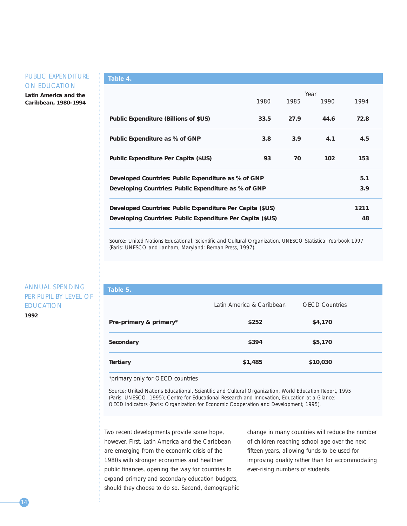#### PUBLIC EXPENDITURE **Table 4.** ON EDUCATION

**Latin America and the Caribbean, 1980-1994**

# Year 1980 1985 1990 1994 **Public Expenditure (Billions of \$US) 33.5 27.9 44.6 72.8 Public Expenditure as % of GNP 3.8 3.9 4.1 4.5** Public Expenditure Per Capita (\$US)  $\begin{array}{ccc} 93 & 70 & 102 & 153 \end{array}$ **Developed Countries: Public Expenditure as % of GNP 5.1 Developing Countries: Public Expenditure as % of GNP 3.9 Developed Countries: Public Expenditure Per Capita (\$US) 1211**

Source: United Nations Educational, Scientific and Cultural Organization, *UNESCO Statistical Yearbook 1997* (Paris: UNESCO and Lanham, Maryland: Bernan Press, 1997).

**Developing Countries: Public Expenditure Per Capita (\$US) 48**

| Table 5.               |                           |                       |  |
|------------------------|---------------------------|-----------------------|--|
|                        | Latin America & Caribbean | <b>OECD Countries</b> |  |
| Pre-primary & primary* | \$252                     | \$4,170               |  |
| Secondary              | \$394                     | \$5,170               |  |
| <b>Tertiary</b>        | \$1,485                   | \$10,030              |  |

\*primary only for OECD countries

Source: United Nations Educational, Scientific and Cultural Organization, *World Education Report, 1995* (Paris: UNESCO, 1995); Centre for Educational Research and Innovation, *Education at a Glance: OECD Indicators* (Paris: Organization for Economic Cooperation and Development, 1995).

Two recent developments provide some hope, however. First, Latin America and the Caribbean are emerging from the economic crisis of the 1980s with stronger economies and healthier public finances, opening the way for countries to expand primary and secondary education budgets, should they choose to do so. Second, demographic change in many countries will reduce the number of children reaching school age over the next fifteen years, allowing funds to be used for improving quality rather than for accommodating ever-rising numbers of students.

#### **Table 5.** ANNUAL SPENDING PER PUPIL BY LEVEL OF EDUCATION **1992**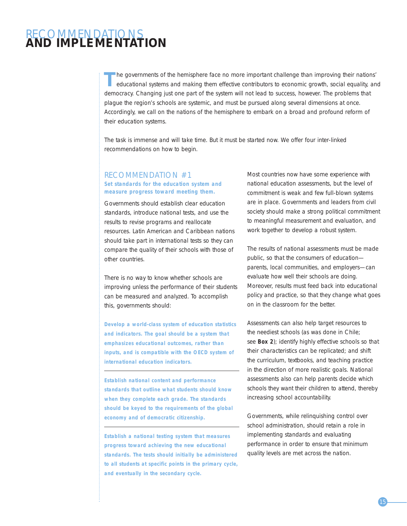## RECOMMENDATIONS **AND IMPLEMENTATION**

The governments of the hemisphere face no more important challenge than improving their nations' educational systems and making them effective contributors to economic growth, social equality, and democracy. Changing just one part of the system will not lead to success, however. The problems that plague the region's schools are systemic, and must be pursued along several dimensions at once. Accordingly, we call on the nations of the hemisphere to embark on a broad and profound reform of their education systems.

The task is immense and will take time. But it must be started now. We offer four inter-linked recommendations on how to begin.

#### RECOMMENDATION #1 **Set standards for the education system and measure progress toward meeting them.**

Governments should establish clear education standards, introduce national tests, and use the results to revise programs and reallocate resources. Latin American and Caribbean nations should take part in international tests so they can compare the quality of their schools with those of other countries.

There is no way to know whether schools are improving unless the performance of their students can be measured and analyzed. To accomplish this, governments should:

**Develop a world-class system of education statistics and indicators. The goal should be a system that emphasizes educational outcomes, rather than inputs, and is compatible with the OECD system of international education indicators.**

**Establish national content and performance standards that outline what students should know when they complete each grade. The standards should be keyed to the requirements of the global economy and of democratic citizenship.**

**Establish a national testing system that measures progress toward achieving the new educational standards. The tests should initially be administered to all students at specific points in the primary cycle, and eventually in the secondary cycle.**

Most countries now have some experience with national education assessments, but the level of commitment is weak and few full-blown systems are in place. Governments and leaders from civil society should make a strong political commitment to meaningful measurement and evaluation, and work together to develop a robust system.

The results of national assessments must be made public, so that the consumers of education parents, local communities, and employers—can evaluate how well their schools are doing. Moreover, results must feed back into educational policy and practice, so that they change what goes on in the classroom for the better.

Assessments can also help target resources to the neediest schools (as was done in Chile; see **Box 2**); identify highly effective schools so that their characteristics can be replicated; and shift the curriculum, textbooks, and teaching practice in the direction of more realistic goals. National assessments also can help parents decide which schools they want their children to attend, thereby increasing school accountability.

Governments, while relinquishing control over school administration, should retain a role in implementing standards and evaluating performance in order to ensure that minimum quality levels are met across the nation.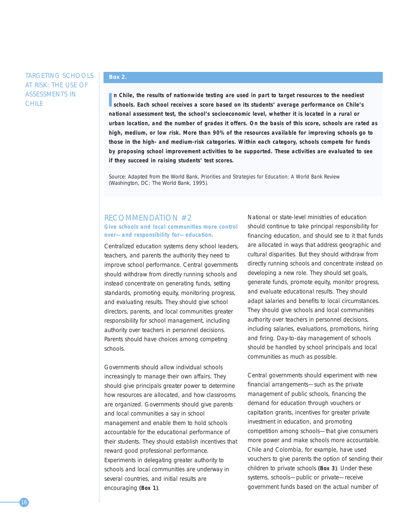#### TARGETING SCHOOLS AT RISK: THE USE OF ASSESSMENTS IN CHILE

#### **Box 2.**

In Chile, the results of nationwide testing are used in part to target resources to the neediest<br>schools. Each school receives a score based on its students' average performance on Chile's **n Chile, the results of nationwide testing are used in part to target resources to the neediest national assessment test, the school's socioeconomic level, whether it is located in a rural or urban location, and the number of grades it offers. On the basis of this score, schools are rated as high, medium, or low risk. More than 90% of the resources available for improving schools go to those in the high- and medium-risk categories. Within each category, schools compete for funds by proposing school improvement activities to be supported. These activities are evaluated to see if they succeed in raising students' test scores.**

Source: Adapted from the World Bank, *Priorities and Strategies for Education: A World Bank Review* (Washington, DC: The World Bank, 1995).

#### RECOMMENDATION #2 **Give schools and local communities more control over—and responsibility for—education.**

Centralized education systems deny school leaders, teachers, and parents the authority they need to improve school performance. Central governments should withdraw from directly running schools and instead concentrate on generating funds, setting standards, promoting equity, monitoring progress, and evaluating results. They should give school directors, parents, and local communities greater responsibility for school management, including authority over teachers in personnel decisions. Parents should have choices among competing schools.

Governments should allow individual schools increasingly to manage their own affairs. They should give principals greater power to determine how resources are allocated, and how classrooms are organized. Governments should give parents and local communities a say in school management and enable them to hold schools accountable for the educational performance of their students. They should establish incentives that reward good professional performance. Experiments in delegating greater authority to schools and local communities are underway in several countries, and initial results are encouraging **(Box 1)**.

National or state-level ministries of education should continue to take principal responsibility for financing education, and should see to it that funds are allocated in ways that address geographic and cultural disparities. But they should withdraw from directly running schools and concentrate instead on developing a new role. They should set goals, generate funds, promote equity, monitor progress, and evaluate educational results. They should adapt salaries and benefits to local circumstances. They should give schools and local communities authority over teachers in personnel decisions, including salaries, evaluations, promotions, hiring and firing. Day-to-day management of schools should be handled by school principals and local communities as much as possible.

Central governments should experiment with new financial arrangements—such as the private management of public schools, financing the demand for education through vouchers or capitation grants, incentives for greater private investment in education, and promoting competition among schools—that give consumers more power and make schools more accountable. Chile and Colombia, for example, have used vouchers to give parents the option of sending their children to private schools **(Box 3)**. Under these systems, schools—public or private—receive government funds based on the actual number of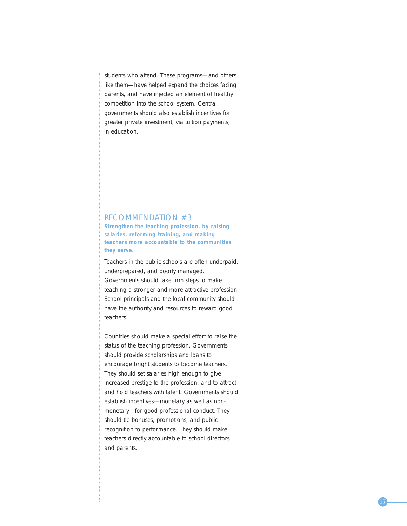students who attend. These programs—and others like them—have helped expand the choices facing parents, and have injected an element of healthy competition into the school system. Central governments should also establish incentives for greater private investment, via tuition payments, in education.

#### RECOMMENDATION #3 **Strengthen the teaching profession, by raising salaries, reforming training, and making teachers more accountable to the communities they serve.**

Teachers in the public schools are often underpaid, underprepared, and poorly managed. Governments should take firm steps to make teaching a stronger and more attractive profession. School principals and the local community should have the authority and resources to reward good teachers.

Countries should make a special effort to raise the status of the teaching profession. Governments should provide scholarships and loans to encourage bright students to become teachers. They should set salaries high enough to give increased prestige to the profession, and to attract and hold teachers with talent. Governments should establish incentives—monetary as well as nonmonetary—for good professional conduct. They should tie bonuses, promotions, and public recognition to performance. They should make teachers directly accountable to school directors and parents.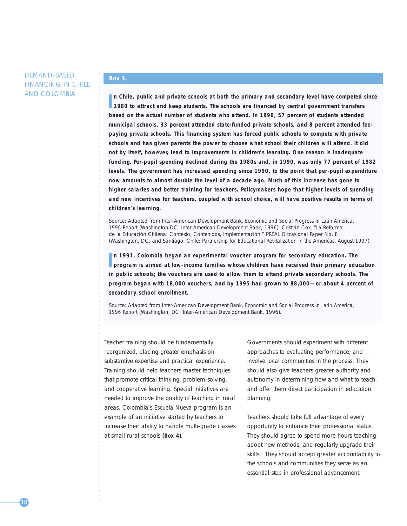DEMAND-BASED FINANCING IN CHILE AND COLOMBIA

#### **Box 3.**

**I** In Chile, public and private schools at both the primary and secondary level have competed is 1980 to attract and keep students. The schools are financed by central government transfers **n Chile, public and private schools at both the primary and secondary level have competed since based on the actual number of students who attend. In 1996, 57 percent of students attended municipal schools, 33 percent attended state-funded private schools, and 8 percent attended feepaying private schools. This financing system has forced public schools to compete with private schools and has given parents the power to choose what school their children will attend. It did not by itself, however, lead to improvements in children's learning. One reason is inadequate funding. Per-pupil spending declined during the 1980s and, in 1990, was only 77 percent of 1982 levels. The government has increased spending since 1990, to the point that per-pupil expenditure now amounts to almost double the level of a decade ago. Much of this increase has gone to higher salaries and better training for teachers. Policymakers hope that higher levels of spending and new incentives for teachers, coupled with school choice, will have positive results in terms of children's learning.**

Source: Adapted from Inter-American Development Bank, *Economic and Social Progress in Latin America, 1996 Report* (Washington DC: Inter-American Development Bank, 1996); Cristián Cox, "La Reforma de la Educación Chilena: Contexto, Contenidos, Implementación," PREAL Occasional Paper No. 8 (Washington, DC, and Santiago, Chile: Partnership for Educational Revitalization in the Americas, August 1997).

**I** n 1991, Colombia began an experimental voucher program for secondary education. The program is aimed at low-income families whose children have received their primary education **n 1991, Colombia began an experimental voucher program for secondary education. The in public schools; the vouchers are used to allow them to attend private secondary schools. The program began with 18,000 vouchers, and by 1995 had grown to 88,000—or about 4 percent of secondary school enrollment.**

Source: Adapted from Inter-American Development Bank, *Economic and Social Progress in Latin America, 1996 Report* (Washington, DC: Inter-American Development Bank, 1996).

Teacher training should be fundamentally reorganized, placing greater emphasis on substantive expertise and practical experience. Training should help teachers master techniques that promote critical thinking, problem-solving, and cooperative learning. Special initiatives are needed to improve the quality of teaching in rural areas. Colombia's *Escuela Nueva* program is an example of an initiative started by teachers to increase their ability to handle multi-grade classes at small rural schools **(Box 4)**.

Governments should experiment with different approaches to evaluating performance, and involve local communities in the process. They should also give teachers greater authority and autonomy in determining how and what to teach, and offer them direct participation in education planning.

Teachers should take full advantage of every opportunity to enhance their professional status. They should agree to spend more hours teaching, adopt new methods, and regularly upgrade their skills. They should accept greater accountability to the schools and communities they serve as an essential step in professional advancement.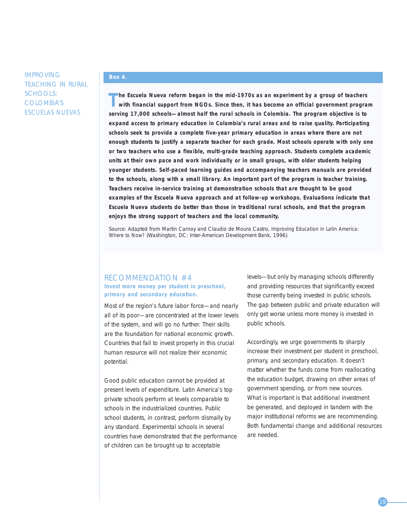IMPROVING TEACHING IN RURAL SCHOOLS: COLOMBIA'S *ESCUELAS NUEVAS*

#### **Box 4.**

**T he Escuela Nueva reform began in the mid-1970s as an experiment by a group of teachers with financial support from NGOs. Since then, it has become an official government program serving 17,000 schools—almost half the rural schools in Colombia. The program objective is to expand access to primary education in Colombia's rural areas and to raise quality. Participating schools seek to provide a complete five-year primary education in areas where there are not enough students to justify a separate teacher for each grade. Most schools operate with only one or two teachers who use a flexible, multi-grade teaching approach. Students complete academic units at their own pace and work individually or in small groups, with older students helping younger students. Self-paced learning guides and accompanying teachers manuals are provided to the schools, along with a small library. An important part of the program is teacher training. Teachers receive in-service training at demonstration schools that are thought to be good examples of the Escuela Nueva approach and at follow-up workshops. Evaluations indicate that Escuela Nueva students do better than those in traditional rural schools, and that the program enjoys the strong support of teachers and the local community.**

Source: Adapted from Martin Carnoy and Claudio de Moura Castro, *Improving Education in Latin America: Where to Now?* (Washington, DC: Inter-American Development Bank, 1996).

#### RECOMMENDATION #4 **Invest more money per student in preschool, primary and secondary education.**

Most of the region's future labor force—and nearly all of its poor—are concentrated at the lower levels of the system, and will go no further. Their skills are the foundation for national economic growth. Countries that fail to invest properly in this crucial human resource will not realize their economic potential.

Good public education cannot be provided at present levels of expenditure. Latin America's top private schools perform at levels comparable to schools in the industrialized countries. Public school students, in contrast, perform dismally by any standard. Experimental schools in several countries have demonstrated that the performance of children can be brought up to acceptable

levels—but only by managing schools differently and providing resources that significantly exceed those currently being invested in public schools. The gap between public and private education will only get worse unless more money is invested in public schools.

Accordingly, we urge governments to sharply increase their investment per student in preschool, primary, and secondary education. It doesn't matter whether the funds come from reallocating the education budget, drawing on other areas of government spending, or from new sources. What is important is that additional investment be generated, and deployed in tandem with the major institutional reforms we are recommending. Both fundamental change and additional resources are needed.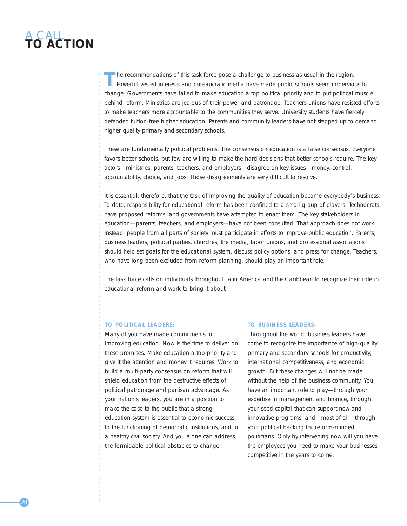## A CALL **TO ACTION**

The recommendations of this task force pose a challenge to business as usual in the region.<br>Powerful vested interests and bureaucratic inertia have made public schools seem impervious to change. Governments have failed to make education a top political priority and to put political muscle behind reform. Ministries are jealous of their power and patronage. Teachers unions have resisted efforts to make teachers more accountable to the communities they serve. University students have fiercely defended tuition-free higher education. Parents and community leaders have not stepped up to demand higher quality primary and secondary schools.

These are fundamentally political problems. The consensus on education is a false consensus. Everyone favors better schools, but few are willing to make the hard decisions that better schools require. The key actors—ministries, parents, teachers, and employers—disagree on key issues—money, control, accountability, choice, and jobs. Those disagreements are very difficult to resolve.

It is essential, therefore, that the task of improving the quality of education become everybody's business. To date, responsibility for educational reform has been confined to a small group of players. Technocrats have proposed reforms, and governments have attempted to enact them. The key stakeholders in education—parents, teachers, and employers—have not been consulted. That approach does not work. Instead, people from all parts of society must participate in efforts to improve public education. Parents, business leaders, political parties, churches, the media, labor unions, and professional associations should help set goals for the educational system, discuss policy options, and press for change. Teachers, who have long been excluded from reform planning, should play an important role.

The task force calls on individuals throughout Latin America and the Caribbean to recognize their role in educational reform and work to bring it about.

#### **TO POLITICAL LEADERS:**

Many of you have made commitments to improving education. Now is the time to deliver on these promises. Make education a top priority and give it the attention and money it requires. Work to build a multi-party consensus on reform that will shield education from the destructive effects of political patronage and partisan advantage. As your nation's leaders, you are in a position to make the case to the public that a strong education system is essential to economic success, to the functioning of democratic institutions, and to a healthy civil society. And you alone can address the formidable political obstacles to change.

#### **TO BUSINESS LEADERS:**

Throughout the world, business leaders have come to recognize the importance of high-quality primary and secondary schools for productivity, international competitiveness, and economic growth. But these changes will not be made without the help of the business community. You have an important role to play—through your expertise in management and finance, through your seed capital that can support new and innovative programs, and—most of all—through your political backing for reform-minded politicians. Only by intervening now will you have the employees you need to make your businesses competitive in the years to come.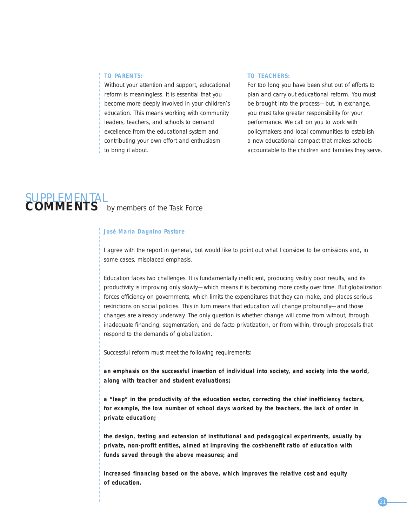#### **TO PARENTS:**

Without your attention and support, educational reform is meaningless. It is essential that you become more deeply involved in your children's education. This means working with community leaders, teachers, and schools to demand excellence from the educational system and contributing your own effort and enthusiasm to bring it about.

#### **TO TEACHERS:**

For too long you have been shut out of efforts to plan and carry out educational reform. You must be brought into the process—but, in exchange, you must take greater responsibility for your performance. We call on you to work with policymakers and local communities to establish a new educational compact that makes schools accountable to the children and families they serve.

## **SUPPLEMENTAL COMMENTS** by members of the Task Force

#### **José María Dagnino Pastore**

I agree with the report in general, but would like to point out what I consider to be omissions and, in some cases, misplaced emphasis.

Education faces two challenges. It is fundamentally inefficient, producing visibly poor results, and its productivity is improving only slowly—which means it is becoming more costly over time. But globalization forces efficiency on governments, which limits the expenditures that they can make, and places serious restrictions on social policies. This in turn means that education will change profoundly—and those changes are already underway. The only question is whether change will come from without, through inadequate financing, segmentation, and de facto privatization, or from within, through proposals that respond to the demands of globalization.

Successful reform must meet the following requirements:

**an emphasis on the successful insertion of individual into society, and society into the world, along with teacher and student evaluations;** 

**a "leap" in the productivity of the education sector, correcting the chief inefficiency factors, for example, the low number of school days worked by the teachers, the lack of order in private education;**

**the design, testing and extension of institutional and pedagogical experiments, usually by private, non-profit entities, aimed at improving the cost-benefit ratio of education with funds saved through the above measures; and**

**increased financing based on the above, which improves the relative cost and equity of education.**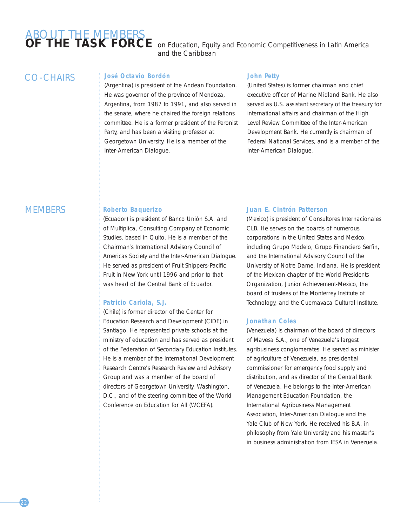# ABOUT THE MEMBERS.

**OF THE TASK FORCE** on Education, Equity and Economic Competitiveness in Latin America and the Caribbean

## CO-CHAIRS

#### **José Octavio Bordón**

(Argentina) is president of the Andean Foundation. He was governor of the province of Mendoza, Argentina, from 1987 to 1991, and also served in the senate, where he chaired the foreign relations committee. He is a former president of the Peronist Party, and has been a visiting professor at Georgetown University. He is a member of the Inter-American Dialogue.

#### **John Petty**

(United States) is former chairman and chief executive officer of Marine Midland Bank. He also served as U.S. assistant secretary of the treasury for international affairs and chairman of the High Level Review Committee of the Inter-American Development Bank. He currently is chairman of Federal National Services, and is a member of the Inter-American Dialogue.

## **MEMBERS**

#### **Roberto Baquerizo**

(Ecuador) is president of Banco Unión S.A. and of Multiplica, Consulting Company of Economic Studies, based in Quito. He is a member of the Chairman's International Advisory Council of Americas Society and the Inter-American Dialogue. He served as president of Fruit Shippers-Pacific Fruit in New York until 1996 and prior to that was head of the Central Bank of Ecuador.

#### **Patricio Cariola, S.J.**

(Chile) is former director of the Center for Education Research and Development (CIDE) in Santiago. He represented private schools at the ministry of education and has served as president of the Federation of Secondary Education Institutes. He is a member of the International Development Research Centre's Research Review and Advisory Group and was a member of the board of directors of Georgetown University, Washington, D.C., and of the steering committee of the World Conference on Education for All (WCEFA).

#### **Juan E. Cintrón Patterson**

(Mexico) is president of Consultores Internacionales CLB. He serves on the boards of numerous corporations in the United States and Mexico, including Grupo Modelo, Grupo Financiero Serfin, and the International Advisory Council of the University of Notre Dame, Indiana. He is president of the Mexican chapter of the World Presidents Organization, Junior Achievement-Mexico, the board of trustees of the Monterrey Institute of Technology, and the Cuernavaca Cultural Institute.

#### **Jonathan Coles**

(Venezuela) is chairman of the board of directors of Mavesa S.A., one of Venezuela's largest agribusiness conglomerates. He served as minister of agriculture of Venezuela, as presidential commissioner for emergency food supply and distribution, and as director of the Central Bank of Venezuela. He belongs to the Inter-American Management Education Foundation, the International Agribusiness Management Association, Inter-American Dialogue and the Yale Club of New York. He received his B.A. in philosophy from Yale University and his master's in business administration from IESA in Venezuela.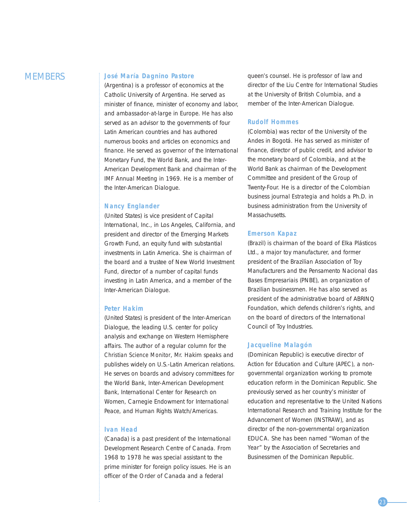## **MEMBERS**

#### **José María Dagnino Pastore**

(Argentina) is a professor of economics at the Catholic University of Argentina. He served as minister of finance, minister of economy and labor, and ambassador-at-large in Europe. He has also served as an advisor to the governments of four Latin American countries and has authored numerous books and articles on economics and finance. He served as governor of the International Monetary Fund, the World Bank, and the Inter-American Development Bank and chairman of the IMF Annual Meeting in 1969. He is a member of the Inter-American Dialogue.

#### **Nancy Englander**

(United States) is vice president of Capital International, Inc., in Los Angeles, California, and president and director of the Emerging Markets Growth Fund, an equity fund with substantial investments in Latin America. She is chairman of the board and a trustee of New World Investment Fund, director of a number of capital funds investing in Latin America, and a member of the Inter-American Dialogue.

#### **Peter Hakim**

(United States) is president of the Inter-American Dialogue, the leading U.S. center for policy analysis and exchange on Western Hemisphere affairs. The author of a regular column for the *Christian Science Monitor*, Mr. Hakim speaks and publishes widely on U.S.-Latin American relations. He serves on boards and advisory committees for the World Bank, Inter-American Development Bank, International Center for Research on Women, Carnegie Endowment for International Peace, and Human Rights Watch/Americas.

#### **Ivan Head**

(Canada) is a past president of the International Development Research Centre of Canada. From 1968 to 1978 he was special assistant to the prime minister for foreign policy issues. He is an officer of the Order of Canada and a federal

queen's counsel. He is professor of law and director of the Liu Centre for International Studies at the University of British Columbia, and a member of the Inter-American Dialogue.

#### **Rudolf Hommes**

(Colombia) was rector of the University of the Andes in Bogotá. He has served as minister of finance, director of public credit, and advisor to the monetary board of Colombia, and at the World Bank as chairman of the Development Committee and president of the Group of Twenty-Four. He is a director of the Colombian business journal *Estrategia* and holds a Ph.D. in business administration from the University of Massachusetts.

#### **Emerson Kapaz**

(Brazil) is chairman of the board of Elka Plásticos Ltd., a major toy manufacturer, and former president of the Brazilian Association of Toy Manufacturers and the Pensamento Nacional das Bases Empresariais (PNBE), an organization of Brazilian businessmen. He has also served as president of the administrative board of ABRINQ Foundation, which defends children's rights, and on the board of directors of the International Council of Toy Industries.

#### **Jacqueline Malagón**

(Dominican Republic) is executive director of Action for Education and Culture (APEC), a nongovernmental organization working to promote education reform in the Dominican Republic. She previously served as her country's minister of education and representative to the United Nations International Research and Training Institute for the Advancement of Women (INSTRAW), and as director of the non-governmental organization EDUCA. She has been named "Woman of the Year" by the Association of Secretaries and Businessmen of the Dominican Republic.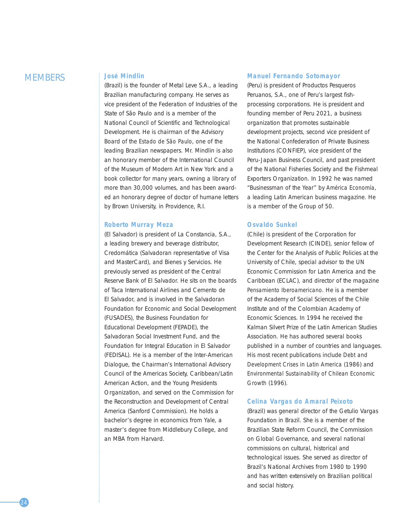#### MEMBERS **José Mindlin**

(Brazil) is the founder of Metal Leve S.A., a leading Brazilian manufacturing company. He serves as vice president of the Federation of Industries of the State of São Paulo and is a member of the National Council of Scientific and Technological Development. He is chairman of the Advisory Board of the *Estado de São Paulo*, one of the leading Brazilian newspapers. Mr. Mindlin is also an honorary member of the International Council of the Museum of Modern Art in New York and a book collector for many years, owning a library of more than 30,000 volumes, and has been awarded an honorary degree of doctor of humane letters by Brown University, in Providence, R.I.

#### **Roberto Murray Meza**

(El Salvador) is president of La Constancia, S.A., a leading brewery and beverage distributor, Credomática (Salvadoran representative of Visa and MasterCard), and Bienes y Servicios. He previously served as president of the Central Reserve Bank of El Salvador. He sits on the boards of Taca International Airlines and Cemento de El Salvador, and is involved in the Salvadoran Foundation for Economic and Social Development (FUSADES), the Business Foundation for Educational Development (FEPADE), the Salvadoran Social Investment Fund, and the Foundation for Integral Education in El Salvador (FEDISAL). He is a member of the Inter-American Dialogue, the Chairman's International Advisory Council of the Americas Society, Caribbean/Latin American Action, and the Young Presidents Organization, and served on the Commission for the Reconstruction and Development of Central America (Sanford Commission). He holds a bachelor's degree in economics from Yale, a master's degree from Middlebury College, and an MBA from Harvard.

#### **Manuel Fernando Sotomayor**

(Peru) is president of Productos Pesqueros Peruanos, S.A., one of Peru's largest fishprocessing corporations. He is president and founding member of Peru 2021, a business organization that promotes sustainable development projects, second vice president of the National Confederation of Private Business Institutions (CONFIEP), vice president of the Peru-Japan Business Council, and past president of the National Fisheries Society and the Fishmeal Exporters Organization. In 1992 he was named "Businessman of the Year" by *América Economía*, a leading Latin American business magazine. He is a member of the Group of 50.

#### **Osvaldo Sunkel**

(Chile) is president of the Corporation for Development Research (CINDE), senior fellow of the Center for the Analysis of Public Policies at the University of Chile, special advisor to the UN Economic Commission for Latin America and the Caribbean (ECLAC), and director of the magazine *Pensamiento Iberoamericano*. He is a member of the Academy of Social Sciences of the Chile Institute and of the Colombian Academy of Economic Sciences. In 1994 he received the Kalman Silvert Prize of the Latin American Studies Association. He has authored several books published in a number of countries and languages. His most recent publications include *Debt and Development Crises in Latin America* (1986) and *Environmental Sustainability of Chilean Economic Growth* (1996).

#### **Celina Vargas do Amaral Peixoto**

(Brazil) was general director of the Getulio Vargas Foundation in Brazil. She is a member of the Brazilian State Reform Council, the Commission on Global Governance, and several national commissions on cultural, historical and technological issues. She served as director of Brazil's National Archives from 1980 to 1990 and has written extensively on Brazilian political and social history.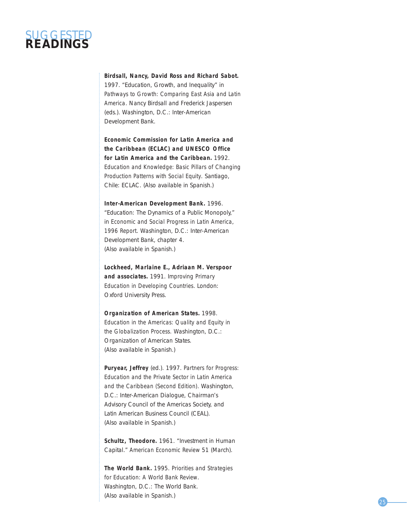

#### **Birdsall, Nancy, David Ross and Richard Sabot.**

1997. "Education, Growth, and Inequality" in *Pathways to Growth: Comparing East Asia and Latin America*. Nancy Birdsall and Frederick Jaspersen (eds.). Washington, D.C.: Inter-American Development Bank.

**Economic Commission for Latin America and the Caribbean (ECLAC) and UNESCO Office for Latin America and the Caribbean.** 1992. *Education and Knowledge: Basic Pillars of Changing Production Patterns with Social Equity*. Santiago, Chile: ECLAC. (Also available in Spanish.)

**Inter-American Development Bank.** 1996. "Education: The Dynamics of a Public Monopoly," in *Economic and Social Progress in Latin America*, *1996 Report*. Washington, D.C.: Inter-American Development Bank, chapter 4. (Also available in Spanish.)

**Lockheed, Marlaine E., Adriaan M. Verspoor and associates.** 1991. I*mproving Primary Education in Developing Countries*. London: Oxford University Press.

**Organization of American States.** 1998. *Education in the Americas: Quality and Equity in the Globalization Process.* Washington, D.C.: Organization of American States. (Also available in Spanish.)

**Puryear, Jeffrey** (ed.). 1997. *Partners for Progress: Education and the Private Sector in Latin America and the Caribbean (Second Edition)*. Washington, D.C.: Inter-American Dialogue, Chairman's Advisory Council of the Americas Society, and Latin American Business Council (CEAL). (Also available in Spanish.)

**Schultz, Theodore.** 1961. "Investment in Human Capital." *American Economic Review* 51 (March).

**The World Bank.** 1995. *Priorities and Strategies for Education: A World Bank Review*. Washington, D.C.: The World Bank. (Also available in Spanish.)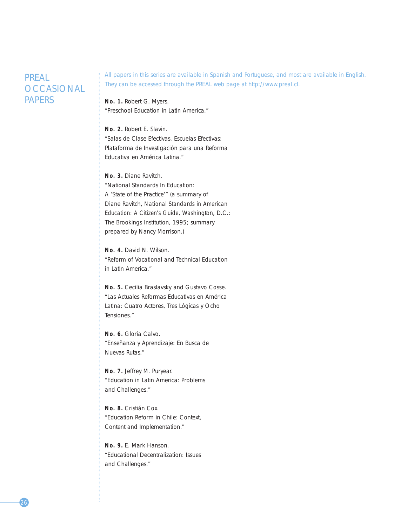## PREAL **OCCASIONAL PAPERS**

All papers in this series are available in Spanish and Portuguese, and most are available in English. They can be accessed through the PREAL web page at http://www.preal.cl.

**No. 1.** Robert G. Myers. "Preschool Education in Latin America."

**No. 2.** Robert E. Slavin. "Salas de Clase Efectivas, Escuelas Efectivas: Plataforma de Investigación para una Reforma Educativa en América Latina."

**No. 3.** Diane Ravitch. "National Standards In Education: A 'State of the Practice'" (a summary of Diane Ravitch, *National Standards in American Education: A Citizen's Guide*, Washington, D.C.: The Brookings Institution, 1995; summary prepared by Nancy Morrison.)

**No. 4.** David N. Wilson. "Reform of Vocational and Technical Education in Latin America."

**No. 5.** Cecilia Braslavsky and Gustavo Cosse. "Las Actuales Reformas Educativas en América Latina: Cuatro Actores, Tres Lógicas y Ocho Tensiones."

**No. 6.** Gloria Calvo. "Enseñanza y Aprendizaje: En Busca de Nuevas Rutas."

**No. 7.** Jeffrey M. Puryear. "Education in Latin America: Problems and Challenges."

**No. 8.** Cristián Cox. "Education Reform in Chile: Context, Content and Implementation."

**No. 9.** E. Mark Hanson. "Educational Decentralization: Issues and Challenges."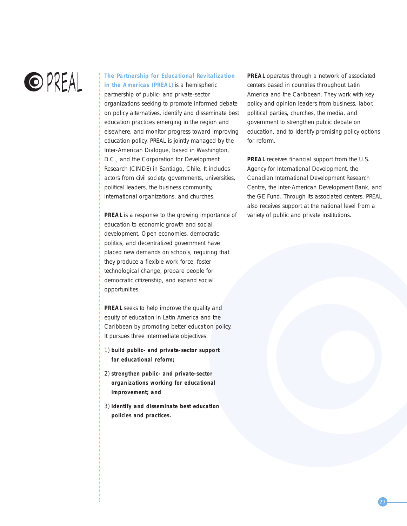

#### **The Partnership for Educational Revitalization**

**in the Americas (PREAL)** is a hemispheric partnership of public- and private-sector organizations seeking to promote informed debate on policy alternatives, identify and disseminate best education practices emerging in the region and elsewhere, and monitor progress toward improving education policy. PREAL is jointly managed by the Inter-American Dialogue, based in Washington, D.C., and the Corporation for Development Research (CINDE) in Santiago, Chile. It includes actors from civil society, governments, universities, political leaders, the business community, international organizations, and churches.

**PREAL** is a response to the growing importance of education to economic growth and social development. Open economies, democratic politics, and decentralized government have placed new demands on schools, requiring that they produce a flexible work force, foster technological change, prepare people for democratic citizenship, and expand social opportunities.

**PREAL** seeks to help improve the quality and equity of education in Latin America and the Caribbean by promoting better education policy. It pursues three intermediate objectives:

- 1) **build public- and private-sector support for educational reform;**
- 2) **strengthen public- and private-sector organizations working for educational improvement; and**
- 3) **identify and disseminate best education policies and practices.**

**PREAL** operates through a network of associated centers based in countries throughout Latin America and the Caribbean. They work with key policy and opinion leaders from business, labor, political parties, churches, the media, and government to strengthen public debate on education, and to identify promising policy options for reform.

**PREAL** receives financial support from the U.S. Agency for International Development, the Canadian International Development Research Centre, the Inter-American Development Bank, and the GE Fund. Through its associated centers, PREAL also receives support at the national level from a variety of public and private institutions.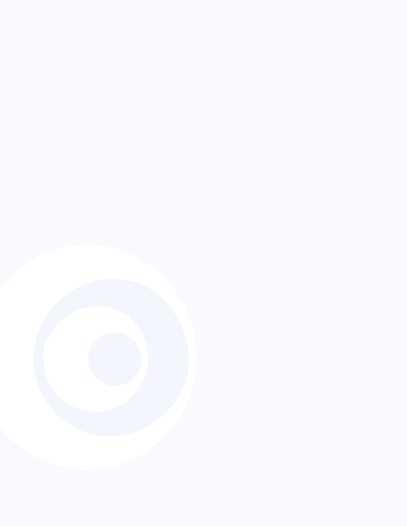